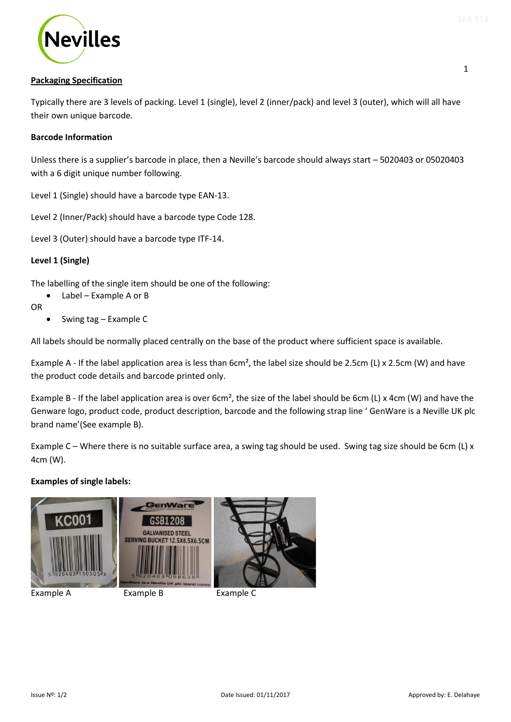1



# **Packaging Specification**

Typically there are 3 levels of packing. Level 1 (single), level 2 (inner/pack) and level 3 (outer), which will all have their own unique barcode.

## **Barcode Information**

Unless there is a supplier's barcode in place, then a Neville's barcode should always start – 5020403 or 05020403 with a 6 digit unique number following.

Level 1 (Single) should have a barcode type EAN-13.

Level 2 (Inner/Pack) should have a barcode type Code 128.

Level 3 (Outer) should have a barcode type ITF-14.

# **Level 1 (Single)**

The labelling of the single item should be one of the following:

Label – Example A or B

OR

 $\bullet$  Swing tag – Example C

All labels should be normally placed centrally on the base of the product where sufficient space is available.

Example A - If the label application area is less than 6cm<sup>2</sup>, the label size should be 2.5cm (L) x 2.5cm (W) and have the product code details and barcode printed only.

Example B - If the label application area is over 6cm<sup>2</sup>, the size of the label should be 6cm (L) x 4cm (W) and have the Genware logo, product code, product description, barcode and the following strap line ' GenWare is a Neville UK plc brand name'(See example B).

Example C – Where there is no suitable surface area, a swing tag should be used. Swing tag size should be 6cm (L) x 4cm (W).

#### **Examples of single labels:**







Example A Example B Example C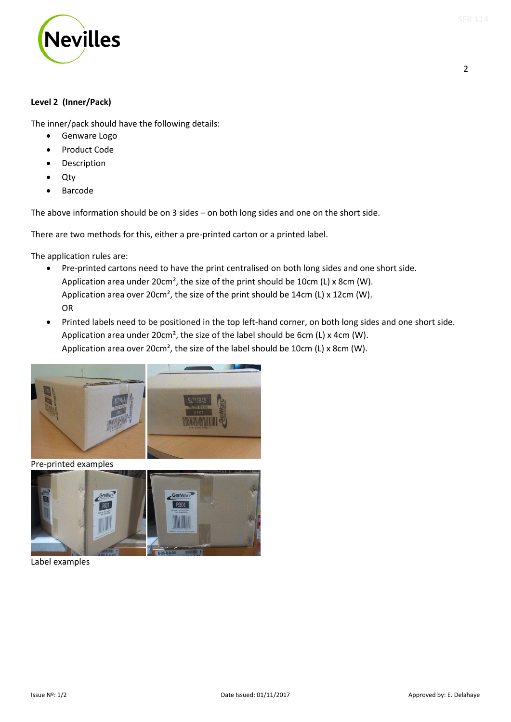

The inner/pack should have the following details:

- **•** Genware Logo
- Product Code
- Description
- Qty
- Barcode

The above information should be on 3 sides – on both long sides and one on the short side.

There are two methods for this, either a pre-printed carton or a printed label.

The application rules are:

- Pre-printed cartons need to have the print centralised on both long sides and one short side. Application area under 20cm², the size of the print should be 10cm (L) x 8cm (W). Application area over 20cm², the size of the print should be 14cm (L) x 12cm (W). OR
- Printed labels need to be positioned in the top left-hand corner, on both long sides and one short side. Application area under 20cm<sup>2</sup>, the size of the label should be 6cm (L) x 4cm (W). Application area over 20cm², the size of the label should be 10cm (L) x 8cm (W).



Pre-printed examples



Label examples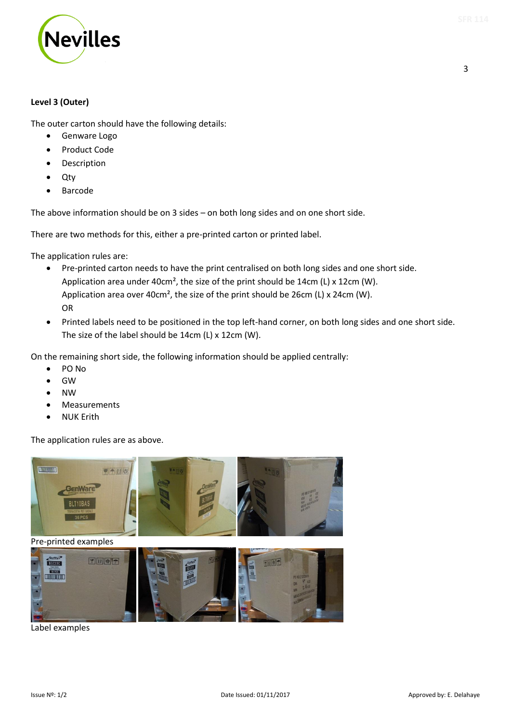

The outer carton should have the following details:

- Genware Logo
- Product Code
- Description
- Qty
- Barcode

The above information should be on 3 sides – on both long sides and on one short side.

There are two methods for this, either a pre-printed carton or printed label.

The application rules are:

- Pre-printed carton needs to have the print centralised on both long sides and one short side. Application area under 40cm², the size of the print should be 14cm (L) x 12cm (W). Application area over 40cm², the size of the print should be 26cm (L) x 24cm (W). OR
- Printed labels need to be positioned in the top left-hand corner, on both long sides and one short side. The size of the label should be 14cm (L) x 12cm (W).

On the remaining short side, the following information should be applied centrally:

- PO No
- GW
- NW
- Measurements
- NUK Erith

The application rules are as above.



Label examples